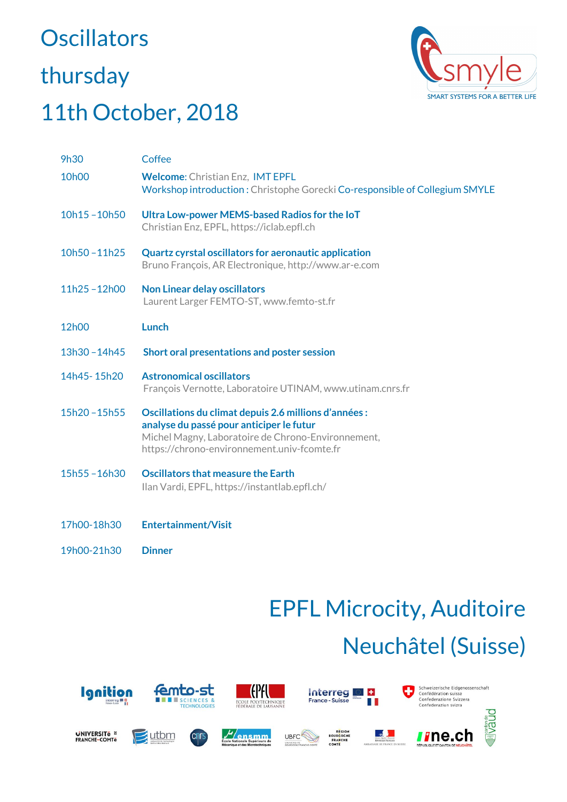# **Oscillators** thursday



#### 11th October, 2018

| <b>9h30</b>        | Coffee                                                                                                                                                                                                 |
|--------------------|--------------------------------------------------------------------------------------------------------------------------------------------------------------------------------------------------------|
| 10 <sub>h</sub> 00 | <b>Welcome: Christian Enz, IMT EPFL</b><br>Workshop introduction: Christophe Gorecki Co-responsible of Collegium SMYLE                                                                                 |
| $10h15 - 10h50$    | Ultra Low-power MEMS-based Radios for the IoT<br>Christian Enz, EPFL, https://iclab.epfl.ch                                                                                                            |
| $10h50 - 11h25$    | <b>Quartz cyrstal oscillators for aeronautic application</b><br>Bruno François, AR Electronique, http://www.ar-e.com                                                                                   |
| 11h25-12h00        | <b>Non Linear delay oscillators</b><br>Laurent Larger FEMTO-ST, www.femto-st.fr                                                                                                                        |
| 12h00              | <b>Lunch</b>                                                                                                                                                                                           |
| 13h30-14h45        | Short oral presentations and poster session                                                                                                                                                            |
| 14h45-15h20        | <b>Astronomical oscillators</b><br>François Vernotte, Laboratoire UTINAM, www.utinam.cnrs.fr                                                                                                           |
| 15h20-15h55        | Oscillations du climat depuis 2.6 millions d'années :<br>analyse du passé pour anticiper le futur<br>Michel Magny, Laboratoire de Chrono-Environnement,<br>https://chrono-environnement.univ-fcomte.fr |
| 15h55-16h30        | <b>Oscillators that measure the Earth</b><br>Ilan Vardi, EPFL, https://instantlab.epfl.ch/                                                                                                             |
| 17h00-18h30        | <b>Entertainment/Visit</b>                                                                                                                                                                             |

19h00-21h30 **Dinner**

## EPFL Microcity, Auditoire Neuchâtel (Suisse)